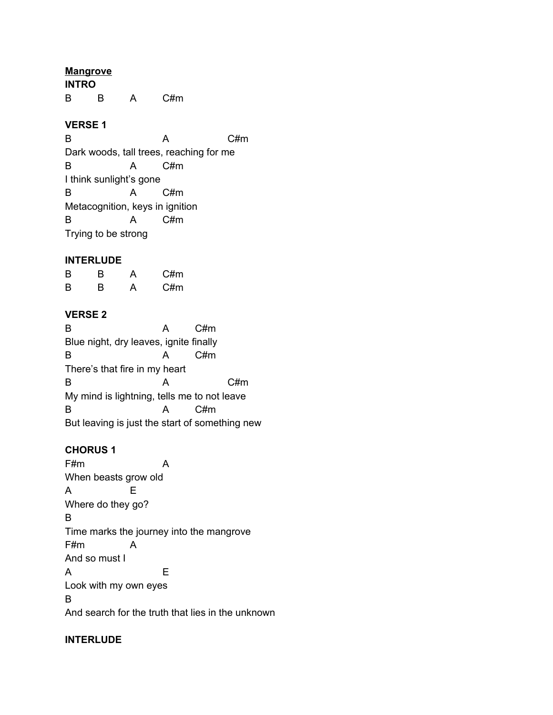**Mangrove INTRO** B B A C#m

## **VERSE 1**

B A C#m Dark woods, tall trees, reaching for me B A C#m I think sunlight's gone B A C#m Metacognition, keys in ignition B A C#m Trying to be strong

## **INTERLUDE**

| B | в | А | C#m |
|---|---|---|-----|
| B | в | А | C#m |

## **VERSE 2**

B A C#m Blue night, dry leaves, ignite finally B A C#m There's that fire in my heart B A C#m My mind is lightning, tells me to not leave B A C#m But leaving is just the start of something new

## **CHORUS 1**

F#m A When beasts grow old A E Where do they go? B Time marks the journey into the mangrove F#m A And so must I A E Look with my own eyes B And search for the truth that lies in the unknown

## **INTERLUDE**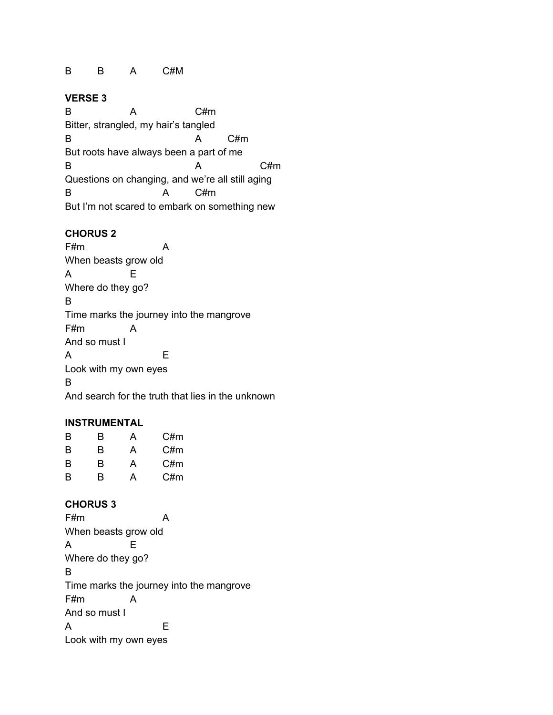### B B A C#M

#### **VERSE 3**

B A C#m Bitter, strangled, my hair's tangled B A C#m But roots have always been a part of me B A C#m Questions on changing, and we're all still aging B A C#m But I'm not scared to embark on something new

#### **CHORUS 2**

F#m A When beasts grow old A E Where do they go? B Time marks the journey into the mangrove F#m A And so must I A E Look with my own eyes B And search for the truth that lies in the unknown

#### **INSTRUMENTAL**

| B | в | А | C#m |
|---|---|---|-----|
| B | в | A | C#m |
| B | в | А | C#m |
| в | в | А | C#m |

#### **CHORUS 3**

F#m A When beasts grow old A E Where do they go? B Time marks the journey into the mangrove F#m A And so must I A E Look with my own eyes